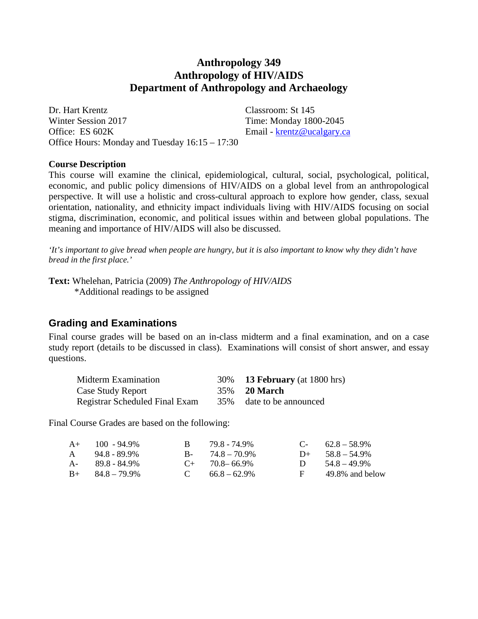# **Anthropology 349 Anthropology of HIV/AIDS Department of Anthropology and Archaeology**

Dr. Hart Krentz Classroom: St 145 Winter Session 2017 Time: Monday 1800-2045 Office: ES 602K Email - [krentz@ucalgary.ca](mailto:krentz@ucalgary.ca) Office Hours: Monday and Tuesday 16:15 – 17:30

#### **Course Description**

This course will examine the clinical, epidemiological, cultural, social, psychological, political, economic, and public policy dimensions of HIV/AIDS on a global level from an anthropological perspective. It will use a holistic and cross-cultural approach to explore how gender, class, sexual orientation, nationality, and ethnicity impact individuals living with HIV/AIDS focusing on social stigma, discrimination, economic, and political issues within and between global populations. The meaning and importance of HIV/AIDS will also be discussed.

*'It's important to give bread when people are hungry, but it is also important to know why they didn't have bread in the first place.'*

**Text:** Whelehan, Patricia (2009) *The Anthropology of HIV/AIDS* \*Additional readings to be assigned

## **Grading and Examinations**

Final course grades will be based on an in-class midterm and a final examination, and on a case study report (details to be discussed in class). Examinations will consist of short answer, and essay questions.

| Midterm Examination                   | 30% <b>13 February</b> (at 1800 hrs) |
|---------------------------------------|--------------------------------------|
| Case Study Report                     | 35% <b>20 March</b>                  |
| <b>Registrar Scheduled Final Exam</b> | 35% date to be announced             |

Final Course Grades are based on the following:

| $A+$ 100 - 94.9%        | B 79.8 - 74.9%       |              | $C - 62.8 - 58.9\%$ |
|-------------------------|----------------------|--------------|---------------------|
| $A = 94.8 - 89.9\%$     | $B - 74.8 - 70.9\%$  |              | $D+ 58.8 - 54.9\%$  |
| A- 89.8 - 84.9%         | $C_{+}$ 70.8 – 66.9% |              | D $54.8 - 49.9\%$   |
| $B_{+}$ $84.8 - 79.9\%$ | C $66.8-62.9\%$      | $\mathbf{F}$ | 49.8% and below     |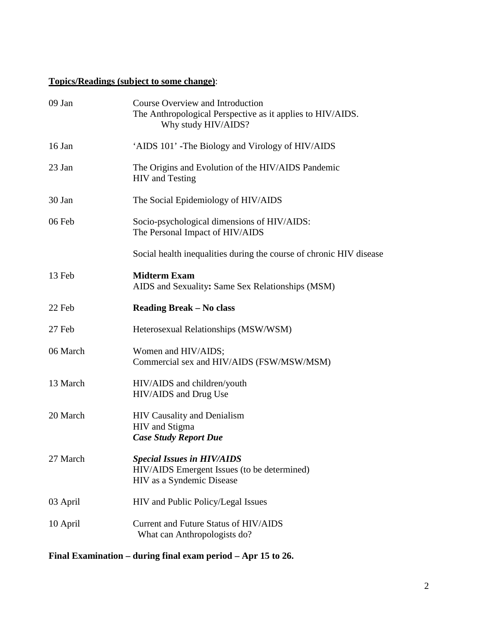# **Topics/Readings (subject to some change)**:

| 09 Jan   | Course Overview and Introduction<br>The Anthropological Perspective as it applies to HIV/AIDS.<br>Why study HIV/AIDS? |
|----------|-----------------------------------------------------------------------------------------------------------------------|
| 16 Jan   | 'AIDS 101' -The Biology and Virology of HIV/AIDS                                                                      |
| 23 Jan   | The Origins and Evolution of the HIV/AIDS Pandemic<br><b>HIV</b> and Testing                                          |
| 30 Jan   | The Social Epidemiology of HIV/AIDS                                                                                   |
| 06 Feb   | Socio-psychological dimensions of HIV/AIDS:<br>The Personal Impact of HIV/AIDS                                        |
|          | Social health inequalities during the course of chronic HIV disease                                                   |
| 13 Feb   | <b>Midterm Exam</b><br>AIDS and Sexuality: Same Sex Relationships (MSM)                                               |
| 22 Feb   | <b>Reading Break – No class</b>                                                                                       |
| 27 Feb   | Heterosexual Relationships (MSW/WSM)                                                                                  |
| 06 March | Women and HIV/AIDS;<br>Commercial sex and HIV/AIDS (FSW/MSW/MSM)                                                      |
| 13 March | HIV/AIDS and children/youth<br>HIV/AIDS and Drug Use                                                                  |
| 20 March | <b>HIV Causality and Denialism</b><br>HIV and Stigma<br><b>Case Study Report Due</b>                                  |
| 27 March | <b>Special Issues in HIV/AIDS</b><br>HIV/AIDS Emergent Issues (to be determined)<br>HIV as a Syndemic Disease         |
| 03 April | HIV and Public Policy/Legal Issues                                                                                    |
| 10 April | Current and Future Status of HIV/AIDS<br>What can Anthropologists do?                                                 |

**Final Examination – during final exam period – Apr 15 to 26.**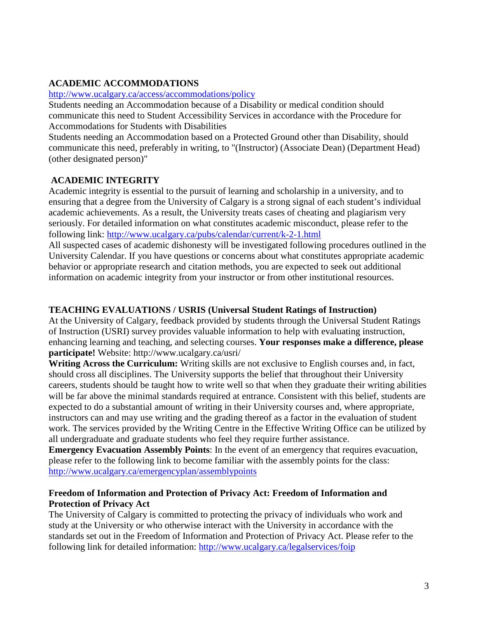# **ACADEMIC ACCOMMODATIONS**

#### <http://www.ucalgary.ca/access/accommodations/policy>

Students needing an Accommodation because of a Disability or medical condition should communicate this need to Student Accessibility Services in accordance with the Procedure for Accommodations for Students with Disabilities

Students needing an Accommodation based on a Protected Ground other than Disability, should communicate this need, preferably in writing, to "(Instructor) (Associate Dean) (Department Head) (other designated person)"

## **ACADEMIC INTEGRITY**

Academic integrity is essential to the pursuit of learning and scholarship in a university, and to ensuring that a degree from the University of Calgary is a strong signal of each student's individual academic achievements. As a result, the University treats cases of cheating and plagiarism very seriously. For detailed information on what constitutes academic misconduct, please refer to the following link:<http://www.ucalgary.ca/pubs/calendar/current/k-2-1.html>

All suspected cases of academic dishonesty will be investigated following procedures outlined in the University Calendar. If you have questions or concerns about what constitutes appropriate academic behavior or appropriate research and citation methods, you are expected to seek out additional information on academic integrity from your instructor or from other institutional resources.

### **TEACHING EVALUATIONS / USRIS (Universal Student Ratings of Instruction)**

At the University of Calgary, feedback provided by students through the Universal Student Ratings of Instruction (USRI) survey provides valuable information to help with evaluating instruction, enhancing learning and teaching, and selecting courses. **Your responses make a difference, please participate!** Website: http://www.ucalgary.ca/usri/

**Writing Across the Curriculum:** Writing skills are not exclusive to English courses and, in fact, should cross all disciplines. The University supports the belief that throughout their University careers, students should be taught how to write well so that when they graduate their writing abilities will be far above the minimal standards required at entrance. Consistent with this belief, students are expected to do a substantial amount of writing in their University courses and, where appropriate, instructors can and may use writing and the grading thereof as a factor in the evaluation of student work. The services provided by the Writing Centre in the Effective Writing Office can be utilized by all undergraduate and graduate students who feel they require further assistance.

**Emergency Evacuation Assembly Points**: In the event of an emergency that requires evacuation, please refer to the following link to become familiar with the assembly points for the class: <http://www.ucalgary.ca/emergencyplan/assemblypoints>

#### **Freedom of Information and Protection of Privacy Act: Freedom of Information and Protection of Privacy Act**

The University of Calgary is committed to protecting the privacy of individuals who work and study at the University or who otherwise interact with the University in accordance with the standards set out in the Freedom of Information and Protection of Privacy Act. Please refer to the following link for detailed information: <http://www.ucalgary.ca/legalservices/foip>